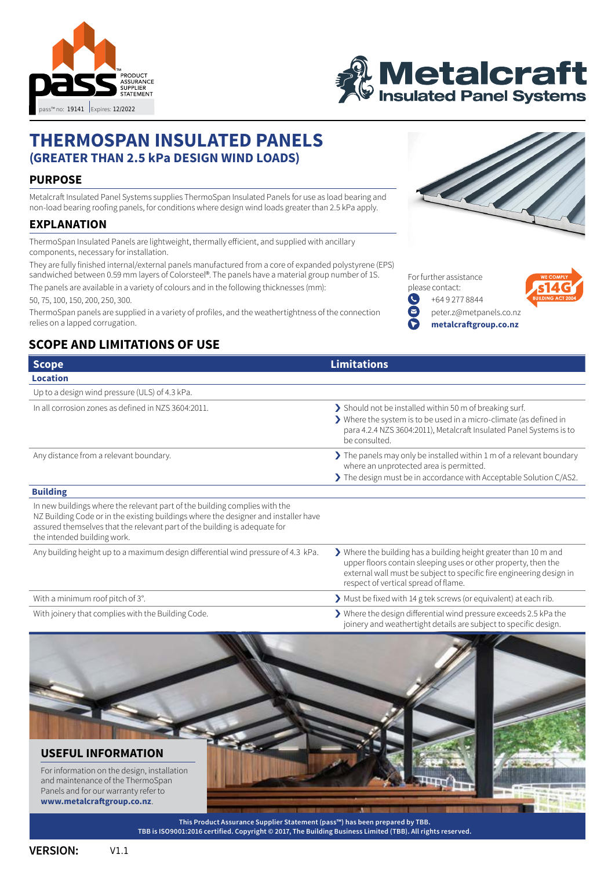



# **THERMOSPAN INSULATED PANELS (GREATER THAN 2.5 kPa DESIGN WIND LOADS)**

### **PURPOSE**

Metalcraft Insulated Panel Systems supplies ThermoSpan Insulated Panels for use as load bearing and non-load bearing roofing panels, for conditions where design wind loads greater than 2.5 kPa apply.

#### **EXPLANATION**

ThermoSpan Insulated Panels are lightweight, thermally efficient, and supplied with ancillary components, necessary for installation.

They are fully finished internal/external panels manufactured from a core of expanded polystyrene (EPS) sandwiched between 0.59 mm layers of Colorsteel®. The panels have a material group number of 1S.

The panels are available in a variety of colours and in the following thicknesses (mm):

50, 75, 100, 150, 200, 250, 300.

ThermoSpan panels are supplied in a variety of profiles, and the weathertightness of the connection relies on a lapped corrugation.

## **SCOPE AND LIMITATIONS OF USE**



For further assistance please contact: Q [+64 9 277 8844](tel:+64 9 277 8844) G



[peter.z@metpanels.co.nz](mailto:peter.z%40metpanels.co.nz?subject=Enquiry%20from%20Metalcraft%20Thermospan%20pass)



| <b>Scope</b>                                                                                                                                                                                                                                                                  | <b>Limitations</b>                                                                                                                                                                                                                                 |
|-------------------------------------------------------------------------------------------------------------------------------------------------------------------------------------------------------------------------------------------------------------------------------|----------------------------------------------------------------------------------------------------------------------------------------------------------------------------------------------------------------------------------------------------|
| <b>Location</b>                                                                                                                                                                                                                                                               |                                                                                                                                                                                                                                                    |
| Up to a design wind pressure (ULS) of 4.3 kPa.                                                                                                                                                                                                                                |                                                                                                                                                                                                                                                    |
| In all corrosion zones as defined in NZS 3604:2011.                                                                                                                                                                                                                           | > Should not be installed within 50 m of breaking surf.<br>> Where the system is to be used in a micro-climate (as defined in<br>para 4.2.4 NZS 3604:2011), Metalcraft Insulated Panel Systems is to<br>be consulted.                              |
| Any distance from a relevant boundary.                                                                                                                                                                                                                                        | $\blacktriangleright$ The panels may only be installed within 1 m of a relevant boundary<br>where an unprotected area is permitted.                                                                                                                |
|                                                                                                                                                                                                                                                                               | The design must be in accordance with Acceptable Solution C/AS2.                                                                                                                                                                                   |
| <b>Building</b>                                                                                                                                                                                                                                                               |                                                                                                                                                                                                                                                    |
| In new buildings where the relevant part of the building complies with the<br>NZ Building Code or in the existing buildings where the designer and installer have<br>assured themselves that the relevant part of the building is adequate for<br>the intended building work. |                                                                                                                                                                                                                                                    |
| Any building height up to a maximum design differential wind pressure of 4.3 kPa.                                                                                                                                                                                             | > Where the building has a building height greater than 10 m and<br>upper floors contain sleeping uses or other property, then the<br>external wall must be subject to specific fire engineering design in<br>respect of vertical spread of flame. |
| With a minimum roof pitch of 3°.                                                                                                                                                                                                                                              | Must be fixed with 14 g tek screws (or equivalent) at each rib.                                                                                                                                                                                    |
| With joinery that complies with the Building Code.                                                                                                                                                                                                                            | > Where the design differential wind pressure exceeds 2.5 kPa the<br>joinery and weathertight details are subject to specific design.                                                                                                              |



**This Product Assurance Supplier Statement (pass™) has been prepared by TBB. [TBB is ISO9001:2016 certified. Copyright © 2017, The Building Business Limited \(TBB\). All rights reserved.](http://thebuildingbusiness.co.nz)** 

V1.1